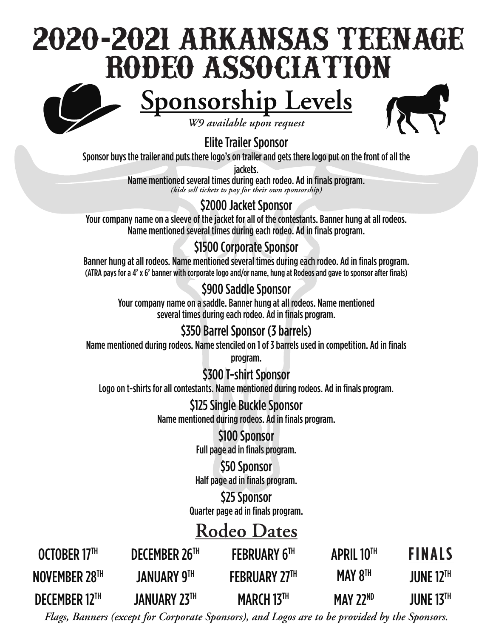# **2020-2021 ARKANSAS TEENAGE RODEO ASSOCIATION**

## <u>Sponsorship Levels</u>



*W9 available upon request*

#### Elite Trailer Sponsor

Sponsor buys the trailer and puts there logo's on trailer and gets there logo put on the front of all the

jackets.

Name mentioned several times during each rodeo. Ad in finals program. *(kids sell tickets to pay for their own sponsorship)*

### \$2000 Jacket Sponsor

Your company name on a sleeve of the jacket for all of the contestants. Banner hung at all rodeos. Name mentioned several times during each rodeo. Ad in finals program.

### \$1500 Corporate Sponsor

Banner hung at all rodeos. Name mentioned several times during each rodeo. Ad in finals program. (ATRA pays for a 4' x 6' banner with corporate logo and/or name, hung at Rodeos and gave to sponsor after finals)

#### \$900 Saddle Sponsor

Your company name on a saddle. Banner hung at all rodeos. Name mentioned several times during each rodeo. Ad in finals program.

#### \$350 Barrel Sponsor (3 barrels)

Name mentioned during rodeos. Name stenciled on 1 of 3 barrels used in competition. Ad in finals

program.

#### \$300 T-shirt Sponsor

Logo on t-shirts for all contestants. Name mentioned during rodeos. Ad in finals program.

#### \$125 Single Buckle Sponsor Name mentioned during rodeos. Ad in finals program.

\$100 Sponsor Full page ad in finals program.

**\$50 Sponsor** Half page ad in finals program.

\$25 Sponsor Quarter page ad in finals program.

### **Rodeo Dates**

| OCTOBER 17TH         | DECEMBER 26TH       | <b>FEBRUARY 6TH</b>  | <b>APRIL 10TH</b> | <b>FINALS</b>               |
|----------------------|---------------------|----------------------|-------------------|-----------------------------|
| NOVEMBER 28TH        | <b>JANUARY 9TH</b>  | <b>FEBRUARY 27TH</b> | MAY $8TH$         | <b>JUNE 12<sup>TH</sup></b> |
| <b>DECEMBER 12TH</b> | <b>JANUARY 23TH</b> | MARCH 13TH           | MAY 22 $ND$       | <b>JUNE 13TH</b>            |

*Flags, Banners (except for Corporate Sponsors), and Logos are to be provided by the Sponsors.*